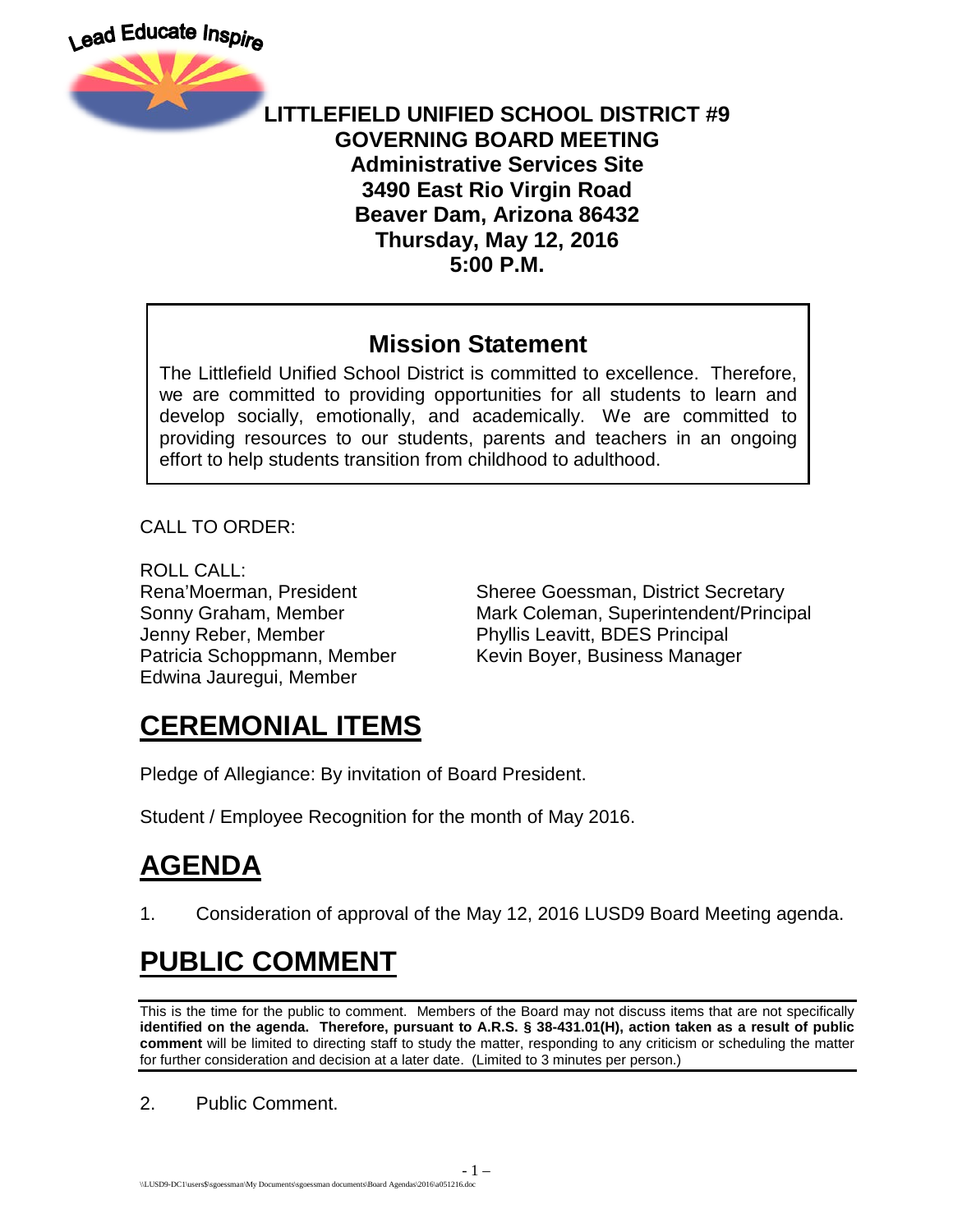

#### **LITTLEFIELD UNIFIED SCHOOL DISTRICT #9 GOVERNING BOARD MEETING Administrative Services Site 3490 East Rio Virgin Road Beaver Dam, Arizona 86432 Thursday, May 12, 2016 5:00 P.M.**

#### **Mission Statement**

The Littlefield Unified School District is committed to excellence. Therefore, we are committed to providing opportunities for all students to learn and develop socially, emotionally, and academically. We are committed to providing resources to our students, parents and teachers in an ongoing effort to help students transition from childhood to adulthood.

CALL TO ORDER:

ROLL CALL: Jenny Reber, Member Phyllis Leavitt, BDES Principal Edwina Jauregui, Member

Rena'Moerman, President Sheree Goessman, District Secretary Sonny Graham, Member **Mark Coleman, Superintendent/Principal** Patricia Schoppmann, Member Kevin Boyer, Business Manager

## **CEREMONIAL ITEMS**

Pledge of Allegiance: By invitation of Board President.

Student / Employee Recognition for the month of May 2016.

# **AGENDA**

1. Consideration of approval of the May 12, 2016 LUSD9 Board Meeting agenda.

# **PUBLIC COMMENT**

This is the time for the public to comment. Members of the Board may not discuss items that are not specifically **identified on the agenda. Therefore, pursuant to A.R.S. § 38-431.01(H), action taken as a result of public comment** will be limited to directing staff to study the matter, responding to any criticism or scheduling the matter for further consideration and decision at a later date. (Limited to 3 minutes per person.)

2. Public Comment.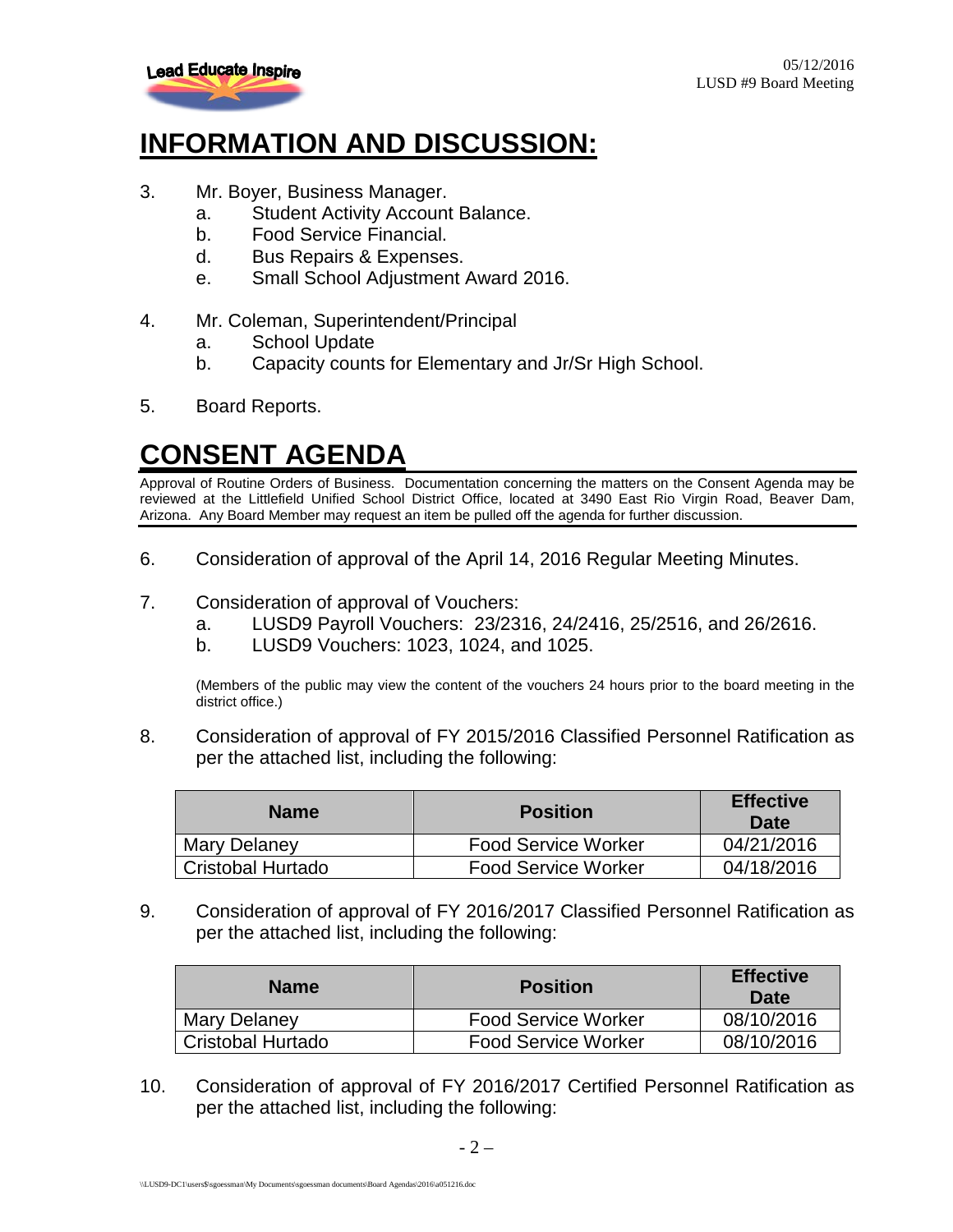

#### **INFORMATION AND DISCUSSION:**

- 3. Mr. Boyer, Business Manager.
	- a. Student Activity Account Balance.
	- b. Food Service Financial.
	- d. Bus Repairs & Expenses.
	- e. Small School Adjustment Award 2016.
- 4. Mr. Coleman, Superintendent/Principal
	- a. School Update
	- b. Capacity counts for Elementary and Jr/Sr High School.
- 5. Board Reports.

## **CONSENT AGENDA**

Approval of Routine Orders of Business. Documentation concerning the matters on the Consent Agenda may be reviewed at the Littlefield Unified School District Office, located at 3490 East Rio Virgin Road, Beaver Dam, Arizona. Any Board Member may request an item be pulled off the agenda for further discussion.

- 6. Consideration of approval of the April 14, 2016 Regular Meeting Minutes.
- 7. Consideration of approval of Vouchers:
	- a. LUSD9 Payroll Vouchers: 23/2316, 24/2416, 25/2516, and 26/2616.
	- b. LUSD9 Vouchers: 1023, 1024, and 1025.

(Members of the public may view the content of the vouchers 24 hours prior to the board meeting in the district office.)

8. Consideration of approval of FY 2015/2016 Classified Personnel Ratification as per the attached list, including the following:

| <b>Name</b>         | <b>Position</b>            | <b>Effective</b><br><b>Date</b> |
|---------------------|----------------------------|---------------------------------|
| <b>Mary Delaney</b> | <b>Food Service Worker</b> | 04/21/2016                      |
| Cristobal Hurtado   | <b>Food Service Worker</b> | 04/18/2016                      |

9. Consideration of approval of FY 2016/2017 Classified Personnel Ratification as per the attached list, including the following:

| <b>Name</b>       | <b>Position</b>            | <b>Effective</b><br>Date |
|-------------------|----------------------------|--------------------------|
| Mary Delaney      | <b>Food Service Worker</b> | 08/10/2016               |
| Cristobal Hurtado | <b>Food Service Worker</b> | 08/10/2016               |

10. Consideration of approval of FY 2016/2017 Certified Personnel Ratification as per the attached list, including the following: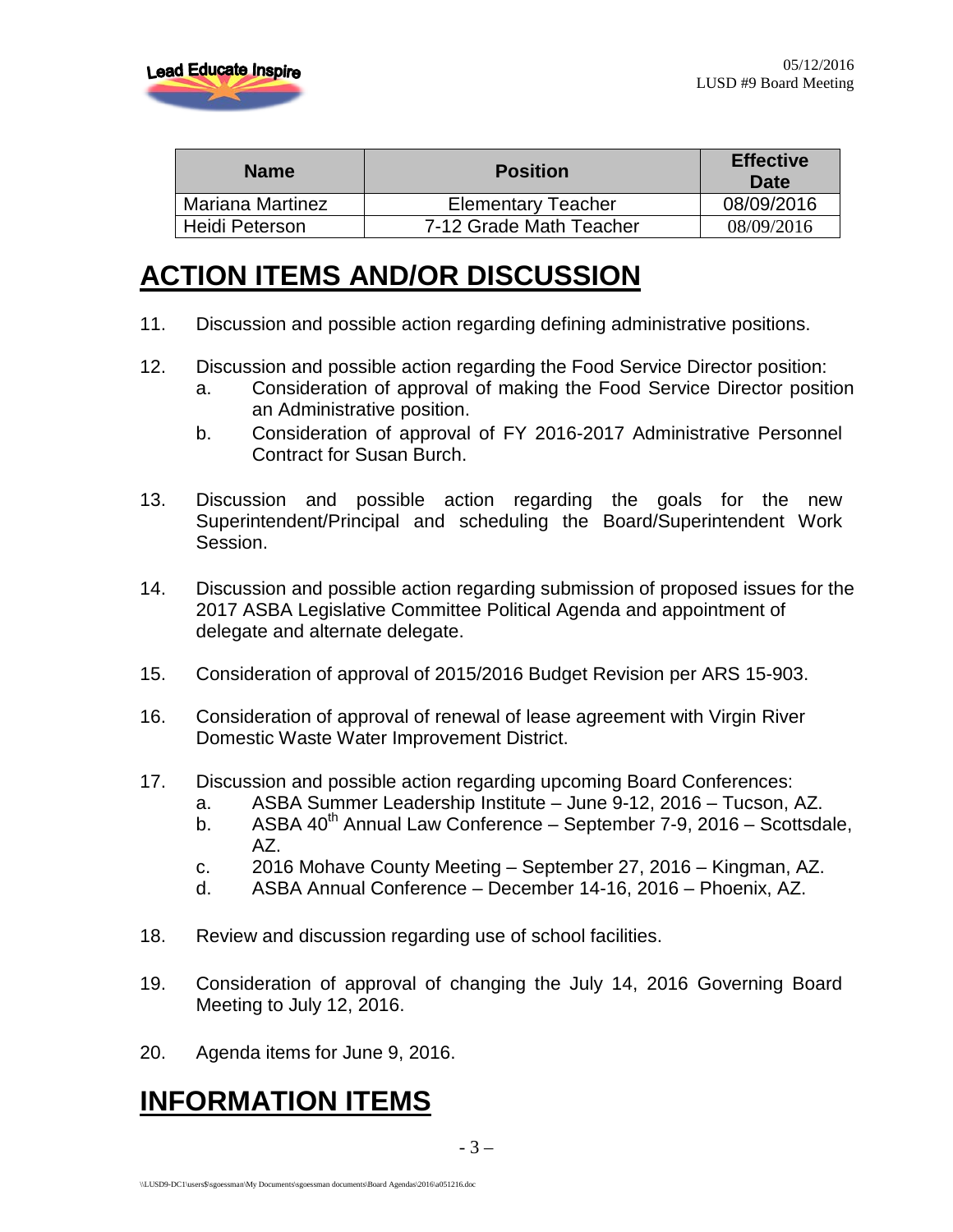

| <b>Name</b>      | <b>Position</b>           | <b>Effective</b><br>Date |
|------------------|---------------------------|--------------------------|
| Mariana Martinez | <b>Elementary Teacher</b> | 08/09/2016               |
| Heidi Peterson   | 7-12 Grade Math Teacher   | 08/09/2016               |

#### **ACTION ITEMS AND/OR DISCUSSION**

- 11. Discussion and possible action regarding defining administrative positions.
- 12. Discussion and possible action regarding the Food Service Director position:
	- a. Consideration of approval of making the Food Service Director position an Administrative position.
	- b. Consideration of approval of FY 2016-2017 Administrative Personnel Contract for Susan Burch.
- 13. Discussion and possible action regarding the goals for the new Superintendent/Principal and scheduling the Board/Superintendent Work Session.
- 14. Discussion and possible action regarding submission of proposed issues for the 2017 ASBA Legislative Committee Political Agenda and appointment of delegate and alternate delegate.
- 15. Consideration of approval of 2015/2016 Budget Revision per ARS 15-903.
- 16. Consideration of approval of renewal of lease agreement with Virgin River Domestic Waste Water Improvement District.
- 17. Discussion and possible action regarding upcoming Board Conferences:
	- a. ASBA Summer Leadership Institute June 9-12, 2016 Tucson, AZ.
	- b. ASBA  $40^{th}$  Annual Law Conference September 7-9, 2016 Scottsdale, AZ.
	- c. 2016 Mohave County Meeting September 27, 2016 Kingman, AZ.
	- d. ASBA Annual Conference December 14-16, 2016 Phoenix, AZ.
- 18. Review and discussion regarding use of school facilities.
- 19. Consideration of approval of changing the July 14, 2016 Governing Board Meeting to July 12, 2016.
- 20. Agenda items for June 9, 2016.

## **INFORMATION ITEMS**